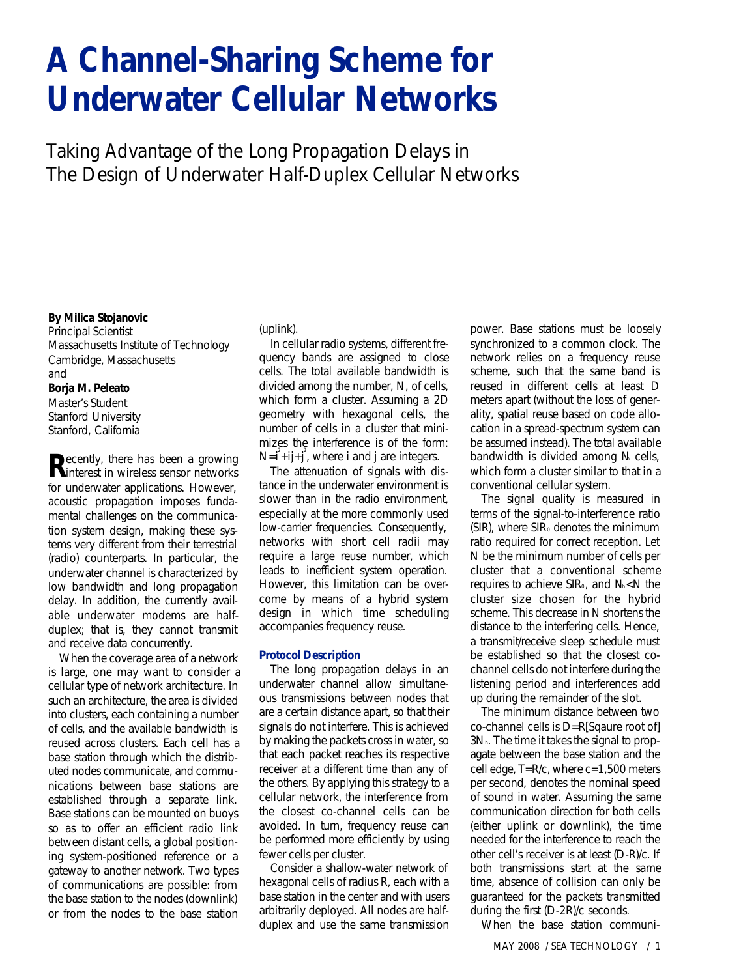# **A Channel-Sharing Scheme for Underwater Cellular Networks**

*Taking Advantage of the Long Propagation Delays in The Design of Underwater Half-Duplex Cellular Networks*

#### **By Milica Stojanovic**

*Principal Scientist Massachusetts Institute of Technology Cambridge, Massachusetts* and **Borja M. Peleato** *Master's Student Stanford University Stanford, California*

**R**ecently, there has been a growing<br> **R** in wireless sensor networks interest in wireless sensor networks for underwater applications. However, acoustic propagation imposes fundamental challenges on the communication system design, making these systems very different from their terrestrial (radio) counterparts. In particular, the underwater channel is characterized by low bandwidth and long propagation delay. In addition, the currently available underwater modems are halfduplex; that is, they cannot transmit and receive data concurrently.

When the coverage area of a network is large, one may want to consider a cellular type of network architecture. In such an architecture, the area is divided into clusters, each containing a number of cells, and the available bandwidth is reused across clusters. Each cell has a base station through which the distributed nodes communicate, and communications between base stations are established through a separate link. Base stations can be mounted on buoys so as to offer an efficient radio link between distant cells, a global positioning system-positioned reference or a gateway to another network. Two types of communications are possible: from the base station to the nodes (downlink) or from the nodes to the base station

#### (uplink).

In cellular radio systems, different frequency bands are assigned to close cells. The total available bandwidth is divided among the number, N, of cells, which form a cluster. Assuming a 2D geometry with hexagonal cells, the number of cells in a cluster that minimizes the interference is of the form:  $N=i^2+ij+j^2$ , where i and j are integers.

The attenuation of signals with distance in the underwater environment is slower than in the radio environment, especially at the more commonly used low-carrier frequencies. Consequently, networks with short cell radii may require a large reuse number, which leads to inefficient system operation. However, this limitation can be overcome by means of a hybrid system design in which time scheduling accompanies frequency reuse.

# **Protocol Description**

The long propagation delays in an underwater channel allow simultaneous transmissions between nodes that are a certain distance apart, so that their signals do not interfere. This is achieved by making the packets cross in water, so that each packet reaches its respective receiver at a different time than any of the others. By applying this strategy to a cellular network, the interference from the closest co-channel cells can be avoided. In turn, frequency reuse can be performed more efficiently by using fewer cells per cluster.

Consider a shallow-water network of hexagonal cells of radius R, each with a base station in the center and with users arbitrarily deployed. All nodes are halfduplex and use the same transmission

power. Base stations must be loosely synchronized to a common clock. The network relies on a frequency reuse scheme, such that the same band is reused in different cells at least D meters apart (without the loss of generality, spatial reuse based on code allocation in a spread-spectrum system can be assumed instead). The total available bandwidth is divided among N cells, which form a cluster similar to that in a conventional cellular system.

The signal quality is measured in terms of the signal-to-interference ratio  $(SIR)$ , where  $SIR<sub>0</sub>$  denotes the minimum ratio required for correct reception. Let N be the minimum number of cells per cluster that a conventional scheme requires to achieve SIR<sub>0</sub>, and N<sub>k</sub><N the cluster size chosen for the hybrid scheme. This decrease in N shortens the distance to the interfering cells. Hence, a transmit/receive sleep schedule must be established so that the closest cochannel cells do not interfere during the listening period and interferences add up during the remainder of the slot.

The minimum distance between two co-channel cells is D=R[Sqaure root of] 3Nh. The time it takes the signal to propagate between the base station and the cell edge, T=R/c, where c=1,500 meters per second, denotes the nominal speed of sound in water. Assuming the same communication direction for both cells (either uplink or downlink), the time needed for the interference to reach the other cell's receiver is at least (D-R)/c. If both transmissions start at the same time, absence of collision can only be guaranteed for the packets transmitted during the first (D-2R)/c seconds.

When the base station communi-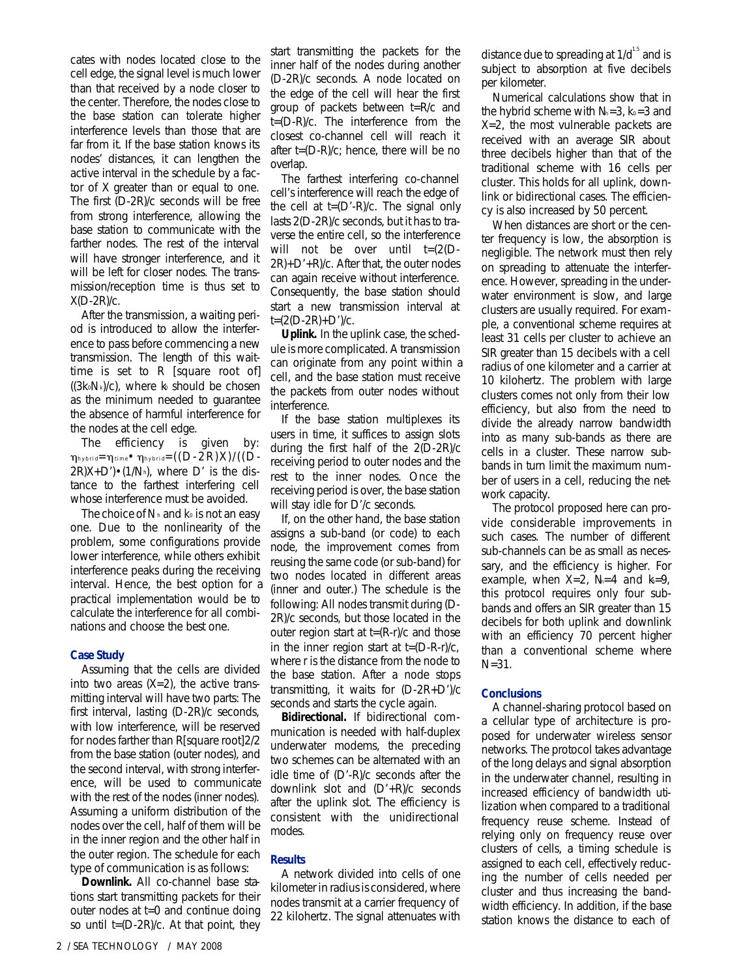cates with nodes located close to the cell edge, the signal level is much lower than that received by a node closer to the center. Therefore, the nodes close to the base station can tolerate higher interference levels than those that are far from it. If the base station knows its nodes' distances, it can lengthen the active interval in the schedule by a factor of X greater than or equal to one. The first (D-2R)/c seconds will be free from strong interference, allowing the base station to communicate with the farther nodes. The rest of the interval will have stronger interference, and it will be left for closer nodes. The transmission/reception time is thus set to X(D-2R)/c.

After the transmission, a waiting period is introduced to allow the interference to pass before commencing a new transmission. The length of this waittime is set to R [square root of]  $((3k_0N_k)/c)$ , where k should be chosen as the minimum needed to guarantee the absence of harmful interference for the nodes at the cell edge.

The efficiency is given by:  $\eta_{\text{hybrid}} = \eta_{\text{time}} \cdot \eta_{\text{hybrid}} = ((D - 2R)X)/((D 2R(X+D')\cdot(1/N_h)$ , where D' is the distance to the farthest interfering cell whose interference must be avoided.

The choice of  $N_h$  and  $k_0$  is not an easy one. Due to the nonlinearity of the problem, some configurations provide lower interference, while others exhibit interference peaks during the receiving interval. Hence, the best option for a practical implementation would be to calculate the interference for all combinations and choose the best one.

# **Case Study**

Assuming that the cells are divided into two areas  $(X=2)$ , the active transmitting interval will have two parts: The first interval, lasting (D-2R)/c seconds, with low interference, will be reserved for nodes farther than R[square root]2/2 from the base station (outer nodes), and the second interval, with strong interference, will be used to communicate with the rest of the nodes (inner nodes). Assuming a uniform distribution of the nodes over the cell, half of them will be in the inner region and the other half in the outer region. The schedule for each type of communication is as follows:

*Downlink.* All co-channel base stations start transmitting packets for their outer nodes at t=0 and continue doing so until  $t=(D-2R)/c$ . At that point, they

start transmitting the packets for the inner half of the nodes during another (D-2R)/c seconds. A node located on the edge of the cell will hear the first group of packets between t=R/c and t=(D-R)/c. The interference from the closest co-channel cell will reach it after t=(D-R)/c; hence, there will be no overlap.

The farthest interfering co-channel cell's interference will reach the edge of the cell at  $t=(D'-R)/c$ . The signal only lasts 2(D-2R)/c seconds, but it has to traverse the entire cell, so the interference will not be over until t=(2(D-2R)+D'+R)/c. After that, the outer nodes can again receive without interference. Consequently, the base station should start a new transmission interval at t=(2(D-2R)+D')/c.

*Uplink.* In the uplink case, the schedule is more complicated. A transmission can originate from any point within a cell, and the base station must receive the packets from outer nodes without interference.

If the base station multiplexes its users in time, it suffices to assign slots during the first half of the 2(D-2R)/c receiving period to outer nodes and the rest to the inner nodes. Once the receiving period is over, the base station will stay idle for D'/c seconds.

If, on the other hand, the base station assigns a sub-band (or code) to each node, the improvement comes from reusing the same code (or sub-band) for two nodes located in different areas (inner and outer.) The schedule is the following: All nodes transmit during (D-2R)/c seconds, but those located in the outer region start at t=(R-r)/c and those in the inner region start at  $t=(D-R-r)/c$ , where r is the distance from the node to the base station. After a node stops transmitting, it waits for (D-2R+D')/c seconds and starts the cycle again.

*Bidirectional.* If bidirectional communication is needed with half-duplex underwater modems, the preceding two schemes can be alternated with an idle time of (D'-R)/c seconds after the downlink slot and (D'+R)/c seconds after the uplink slot. The efficiency is consistent with the unidirectional modes.

#### **Results**

A network divided into cells of one kilometer in radius is considered, where nodes transmit at a carrier frequency of 22 kilohertz. The signal attenuates with distance due to spreading at  $1/d^{1.5}$  and is subject to absorption at five decibels per kilometer.

Numerical calculations show that in the hybrid scheme with  $N_1=3$ ,  $k_0=3$  and X=2, the most vulnerable packets are received with an average SIR about three decibels higher than that of the traditional scheme with 16 cells per cluster. This holds for all uplink, downlink or bidirectional cases. The efficiency is also increased by 50 percent.

When distances are short or the center frequency is low, the absorption is negligible. The network must then rely on spreading to attenuate the interference. However, spreading in the underwater environment is slow, and large clusters are usually required. For example, a conventional scheme requires at least 31 cells per cluster to achieve an SIR greater than 15 decibels with a cell radius of one kilometer and a carrier at 10 kilohertz. The problem with large clusters comes not only from their low efficiency, but also from the need to divide the already narrow bandwidth into as many sub-bands as there are cells in a cluster. These narrow subbands in turn limit the maximum number of users in a cell, reducing the network capacity.

The protocol proposed here can provide considerable improvements in such cases. The number of different sub-channels can be as small as necessary, and the efficiency is higher. For example, when  $X=2$ ,  $N=4$  and  $k=9$ , this protocol requires only four subbands and offers an SIR greater than 15 decibels for both uplink and downlink with an efficiency 70 percent higher than a conventional scheme where N=31.

# **Conclusions**

A channel-sharing protocol based on a cellular type of architecture is proposed for underwater wireless sensor networks. The protocol takes advantage of the long delays and signal absorption in the underwater channel, resulting in increased efficiency of bandwidth utilization when compared to a traditional frequency reuse scheme. Instead of relying only on frequency reuse over clusters of cells, a timing schedule is assigned to each cell, effectively reducing the number of cells needed per cluster and thus increasing the bandwidth efficiency. In addition, if the base station knows the distance to each of